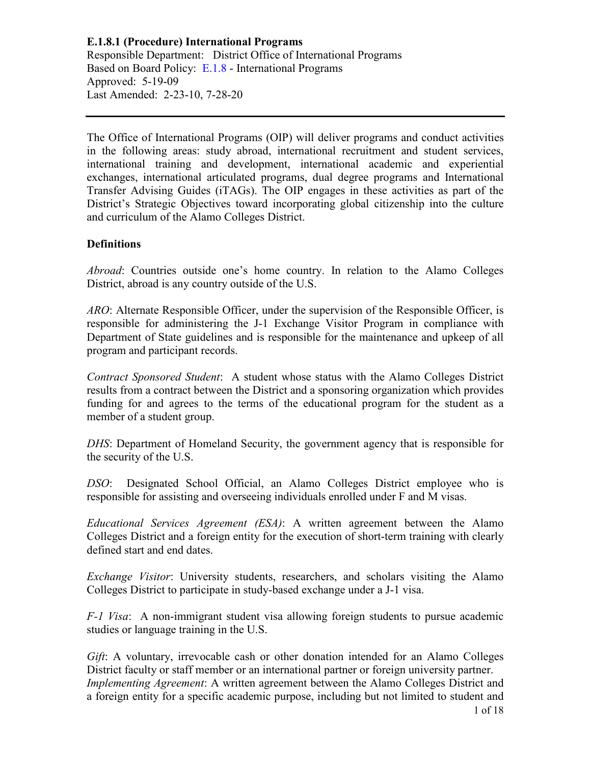The Office of International Programs (OIP) will deliver programs and conduct activities in the following areas: study abroad, international recruitment and student services, international training and development, international academic and experiential exchanges, international articulated programs, dual degree programs and International Transfer Advising Guides (iTAGs). The OIP engages in these activities as part of the District's Strategic Objectives toward incorporating global citizenship into the culture and curriculum of the Alamo Colleges District.

## **Definitions**

*Abroad*: Countries outside one's home country. In relation to the Alamo Colleges District, abroad is any country outside of the U.S.

*ARO*: Alternate Responsible Officer, under the supervision of the Responsible Officer, is responsible for administering the J-1 Exchange Visitor Program in compliance with Department of State guidelines and is responsible for the maintenance and upkeep of all program and participant records.

*Contract Sponsored Student*: A student whose status with the Alamo Colleges District results from a contract between the District and a sponsoring organization which provides funding for and agrees to the terms of the educational program for the student as a member of a student group.

*DHS*: Department of Homeland Security, the government agency that is responsible for the security of the U.S.

*DSO*: Designated School Official, an Alamo Colleges District employee who is responsible for assisting and overseeing individuals enrolled under F and M visas.

*Educational Services Agreement (ESA)*: A written agreement between the Alamo Colleges District and a foreign entity for the execution of short-term training with clearly defined start and end dates.

*Exchange Visitor*: University students, researchers, and scholars visiting the Alamo Colleges District to participate in study-based exchange under a J-1 visa.

*F-1 Visa*: A non-immigrant student visa allowing foreign students to pursue academic studies or language training in the U.S.

*Gift*: A voluntary, irrevocable cash or other donation intended for an Alamo Colleges District faculty or staff member or an international partner or foreign university partner. *Implementing Agreement*: A written agreement between the Alamo Colleges District and a foreign entity for a specific academic purpose, including but not limited to student and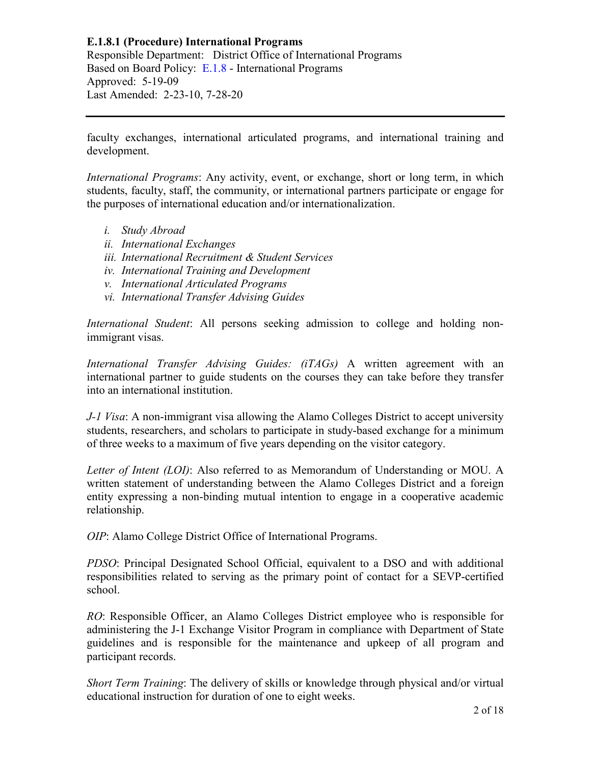faculty exchanges, international articulated programs, and international training and development.

*International Programs*: Any activity, event, or exchange, short or long term, in which students, faculty, staff, the community, or international partners participate or engage for the purposes of international education and/or internationalization.

- *i. Study Abroad*
- *ii. International Exchanges*
- *iii. International Recruitment & Student Services*
- *iv. International Training and Development*
- *v. International Articulated Programs*
- *vi. International Transfer Advising Guides*

*International Student*: All persons seeking admission to college and holding nonimmigrant visas.

*International Transfer Advising Guides: (iTAGs)* A written agreement with an international partner to guide students on the courses they can take before they transfer into an international institution.

*J-1 Visa*: A non-immigrant visa allowing the Alamo Colleges District to accept university students, researchers, and scholars to participate in study-based exchange for a minimum of three weeks to a maximum of five years depending on the visitor category.

*Letter of Intent (LOI)*: Also referred to as Memorandum of Understanding or MOU. A written statement of understanding between the Alamo Colleges District and a foreign entity expressing a non-binding mutual intention to engage in a cooperative academic relationship.

*OIP*: Alamo College District Office of International Programs.

*PDSO*: Principal Designated School Official, equivalent to a DSO and with additional responsibilities related to serving as the primary point of contact for a SEVP-certified school.

*RO*: Responsible Officer, an Alamo Colleges District employee who is responsible for administering the J-1 Exchange Visitor Program in compliance with Department of State guidelines and is responsible for the maintenance and upkeep of all program and participant records.

*Short Term Training*: The delivery of skills or knowledge through physical and/or virtual educational instruction for duration of one to eight weeks.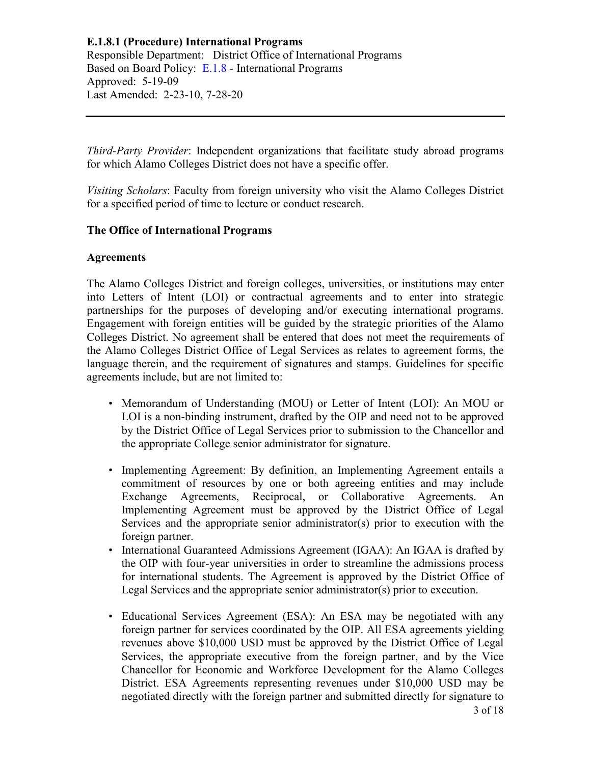*Third-Party Provider*: Independent organizations that facilitate study abroad programs for which Alamo Colleges District does not have a specific offer.

*Visiting Scholars*: Faculty from foreign university who visit the Alamo Colleges District for a specified period of time to lecture or conduct research.

## **The Office of International Programs**

## **Agreements**

The Alamo Colleges District and foreign colleges, universities, or institutions may enter into Letters of Intent (LOI) or contractual agreements and to enter into strategic partnerships for the purposes of developing and/or executing international programs. Engagement with foreign entities will be guided by the strategic priorities of the Alamo Colleges District. No agreement shall be entered that does not meet the requirements of the Alamo Colleges District Office of Legal Services as relates to agreement forms, the language therein, and the requirement of signatures and stamps. Guidelines for specific agreements include, but are not limited to:

- Memorandum of Understanding (MOU) or Letter of Intent (LOI): An MOU or LOI is a non-binding instrument, drafted by the OIP and need not to be approved by the District Office of Legal Services prior to submission to the Chancellor and the appropriate College senior administrator for signature.
- Implementing Agreement: By definition, an Implementing Agreement entails a commitment of resources by one or both agreeing entities and may include Exchange Agreements, Reciprocal, or Collaborative Agreements. An Implementing Agreement must be approved by the District Office of Legal Services and the appropriate senior administrator(s) prior to execution with the foreign partner.
- International Guaranteed Admissions Agreement (IGAA): An IGAA is drafted by the OIP with four-year universities in order to streamline the admissions process for international students. The Agreement is approved by the District Office of Legal Services and the appropriate senior administrator(s) prior to execution.
- 3 of 18 • Educational Services Agreement (ESA): An ESA may be negotiated with any foreign partner for services coordinated by the OIP. All ESA agreements yielding revenues above \$10,000 USD must be approved by the District Office of Legal Services, the appropriate executive from the foreign partner, and by the Vice Chancellor for Economic and Workforce Development for the Alamo Colleges District. ESA Agreements representing revenues under \$10,000 USD may be negotiated directly with the foreign partner and submitted directly for signature to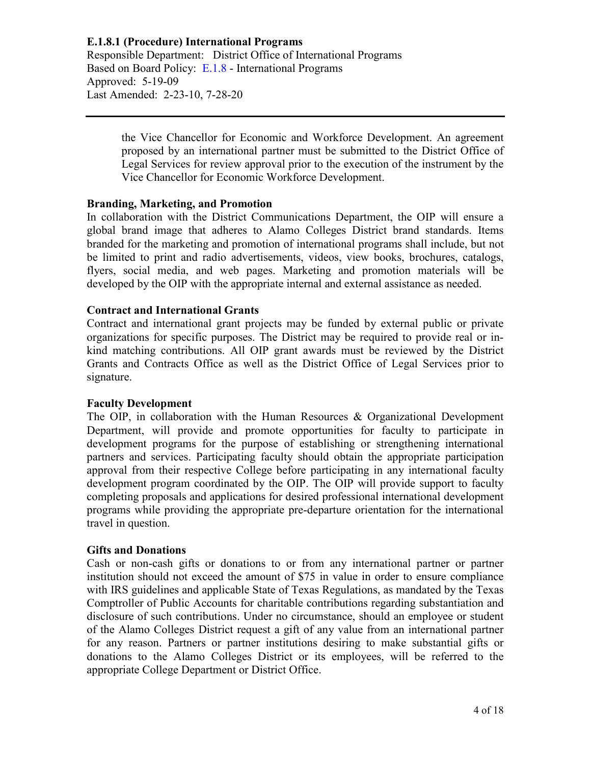> the Vice Chancellor for Economic and Workforce Development. An agreement proposed by an international partner must be submitted to the District Office of Legal Services for review approval prior to the execution of the instrument by the Vice Chancellor for Economic Workforce Development.

## **Branding, Marketing, and Promotion**

In collaboration with the District Communications Department, the OIP will ensure a global brand image that adheres to Alamo Colleges District brand standards. Items branded for the marketing and promotion of international programs shall include, but not be limited to print and radio advertisements, videos, view books, brochures, catalogs, flyers, social media, and web pages. Marketing and promotion materials will be developed by the OIP with the appropriate internal and external assistance as needed.

### **Contract and International Grants**

Contract and international grant projects may be funded by external public or private organizations for specific purposes. The District may be required to provide real or inkind matching contributions. All OIP grant awards must be reviewed by the District Grants and Contracts Office as well as the District Office of Legal Services prior to signature.

#### **Faculty Development**

The OIP, in collaboration with the Human Resources & Organizational Development Department, will provide and promote opportunities for faculty to participate in development programs for the purpose of establishing or strengthening international partners and services. Participating faculty should obtain the appropriate participation approval from their respective College before participating in any international faculty development program coordinated by the OIP. The OIP will provide support to faculty completing proposals and applications for desired professional international development programs while providing the appropriate pre-departure orientation for the international travel in question.

#### **Gifts and Donations**

Cash or non-cash gifts or donations to or from any international partner or partner institution should not exceed the amount of \$75 in value in order to ensure compliance with IRS guidelines and applicable State of Texas Regulations, as mandated by the Texas Comptroller of Public Accounts for charitable contributions regarding substantiation and disclosure of such contributions. Under no circumstance, should an employee or student of the Alamo Colleges District request a gift of any value from an international partner for any reason. Partners or partner institutions desiring to make substantial gifts or donations to the Alamo Colleges District or its employees, will be referred to the appropriate College Department or District Office.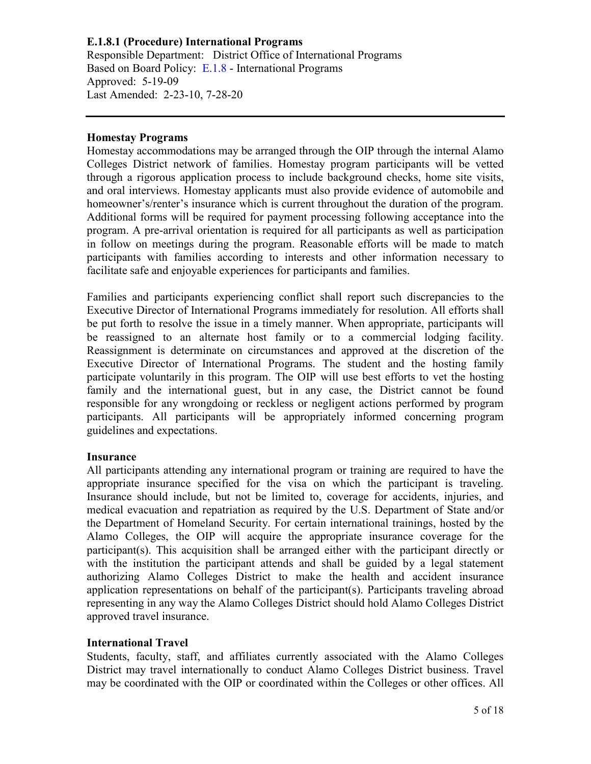### **Homestay Programs**

Homestay accommodations may be arranged through the OIP through the internal Alamo Colleges District network of families. Homestay program participants will be vetted through a rigorous application process to include background checks, home site visits, and oral interviews. Homestay applicants must also provide evidence of automobile and homeowner's/renter's insurance which is current throughout the duration of the program. Additional forms will be required for payment processing following acceptance into the program. A pre-arrival orientation is required for all participants as well as participation in follow on meetings during the program. Reasonable efforts will be made to match participants with families according to interests and other information necessary to facilitate safe and enjoyable experiences for participants and families.

Families and participants experiencing conflict shall report such discrepancies to the Executive Director of International Programs immediately for resolution. All efforts shall be put forth to resolve the issue in a timely manner. When appropriate, participants will be reassigned to an alternate host family or to a commercial lodging facility. Reassignment is determinate on circumstances and approved at the discretion of the Executive Director of International Programs. The student and the hosting family participate voluntarily in this program. The OIP will use best efforts to vet the hosting family and the international guest, but in any case, the District cannot be found responsible for any wrongdoing or reckless or negligent actions performed by program participants. All participants will be appropriately informed concerning program guidelines and expectations.

#### **Insurance**

All participants attending any international program or training are required to have the appropriate insurance specified for the visa on which the participant is traveling. Insurance should include, but not be limited to, coverage for accidents, injuries, and medical evacuation and repatriation as required by the U.S. Department of State and/or the Department of Homeland Security. For certain international trainings, hosted by the Alamo Colleges, the OIP will acquire the appropriate insurance coverage for the participant(s). This acquisition shall be arranged either with the participant directly or with the institution the participant attends and shall be guided by a legal statement authorizing Alamo Colleges District to make the health and accident insurance application representations on behalf of the participant(s). Participants traveling abroad representing in any way the Alamo Colleges District should hold Alamo Colleges District approved travel insurance.

## **International Travel**

Students, faculty, staff, and affiliates currently associated with the Alamo Colleges District may travel internationally to conduct Alamo Colleges District business. Travel may be coordinated with the OIP or coordinated within the Colleges or other offices. All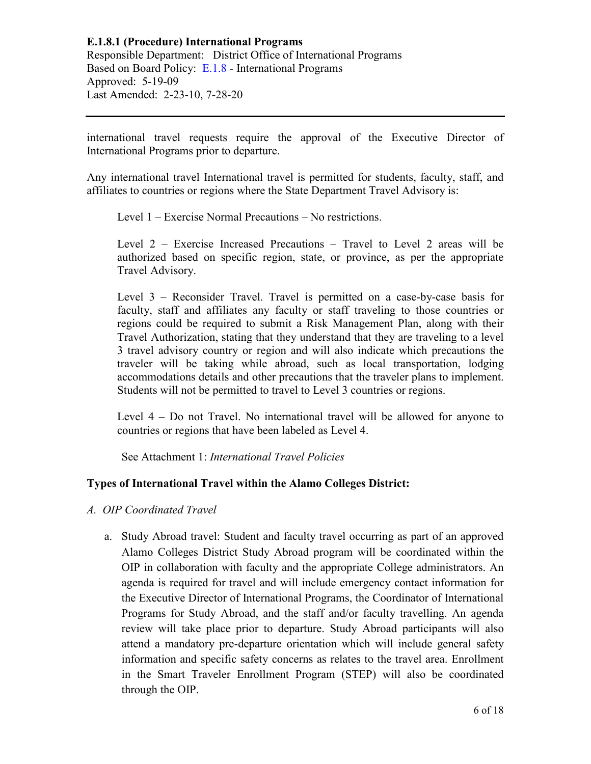international travel requests require the approval of the Executive Director of International Programs prior to departure.

Any international travel International travel is permitted for students, faculty, staff, and affiliates to countries or regions where the State Department Travel Advisory is:

Level 1 – Exercise Normal Precautions – No restrictions.

Level 2 – Exercise Increased Precautions – Travel to Level 2 areas will be authorized based on specific region, state, or province, as per the appropriate Travel Advisory.

Level 3 – Reconsider Travel. Travel is permitted on a case-by-case basis for faculty, staff and affiliates any faculty or staff traveling to those countries or regions could be required to submit a Risk Management Plan, along with their Travel Authorization, stating that they understand that they are traveling to a level 3 travel advisory country or region and will also indicate which precautions the traveler will be taking while abroad, such as local transportation, lodging accommodations details and other precautions that the traveler plans to implement. Students will not be permitted to travel to Level 3 countries or regions.

Level 4 – Do not Travel. No international travel will be allowed for anyone to countries or regions that have been labeled as Level 4.

See Attachment 1: *International Travel Policies*

## **Types of International Travel within the Alamo Colleges District:**

- *A. OIP Coordinated Travel*
	- a. Study Abroad travel: Student and faculty travel occurring as part of an approved Alamo Colleges District Study Abroad program will be coordinated within the OIP in collaboration with faculty and the appropriate College administrators. An agenda is required for travel and will include emergency contact information for the Executive Director of International Programs, the Coordinator of International Programs for Study Abroad, and the staff and/or faculty travelling. An agenda review will take place prior to departure. Study Abroad participants will also attend a mandatory pre-departure orientation which will include general safety information and specific safety concerns as relates to the travel area. Enrollment in the Smart Traveler Enrollment Program (STEP) will also be coordinated through the OIP.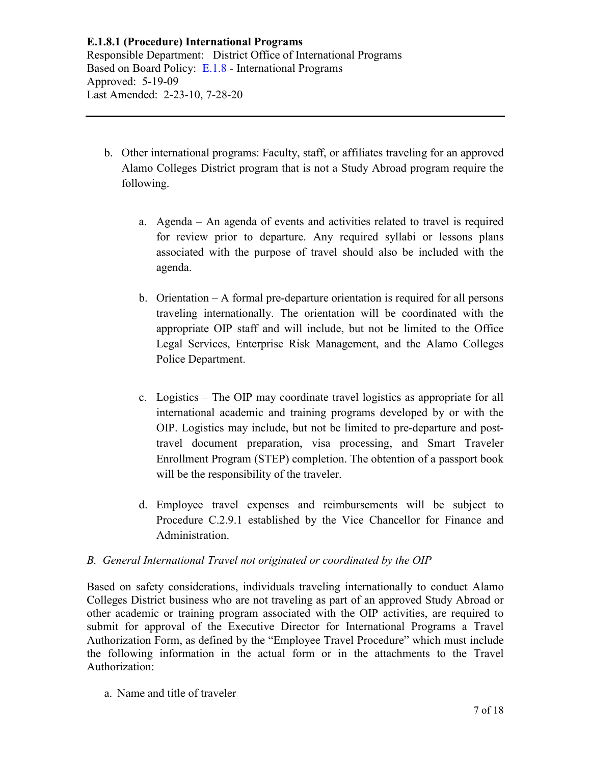- b. Other international programs: Faculty, staff, or affiliates traveling for an approved Alamo Colleges District program that is not a Study Abroad program require the following.
	- a. Agenda An agenda of events and activities related to travel is required for review prior to departure. Any required syllabi or lessons plans associated with the purpose of travel should also be included with the agenda.
	- b. Orientation A formal pre-departure orientation is required for all persons traveling internationally. The orientation will be coordinated with the appropriate OIP staff and will include, but not be limited to the Office Legal Services, Enterprise Risk Management, and the Alamo Colleges Police Department.
	- c. Logistics The OIP may coordinate travel logistics as appropriate for all international academic and training programs developed by or with the OIP. Logistics may include, but not be limited to pre-departure and posttravel document preparation, visa processing, and Smart Traveler Enrollment Program (STEP) completion. The obtention of a passport book will be the responsibility of the traveler.
	- d. Employee travel expenses and reimbursements will be subject to Procedure C.2.9.1 established by the Vice Chancellor for Finance and Administration.

## *B. General International Travel not originated or coordinated by the OIP*

Based on safety considerations, individuals traveling internationally to conduct Alamo Colleges District business who are not traveling as part of an approved Study Abroad or other academic or training program associated with the OIP activities, are required to submit for approval of the Executive Director for International Programs a Travel Authorization Form, as defined by the "Employee Travel Procedure" which must include the following information in the actual form or in the attachments to the Travel Authorization:

a. Name and title of traveler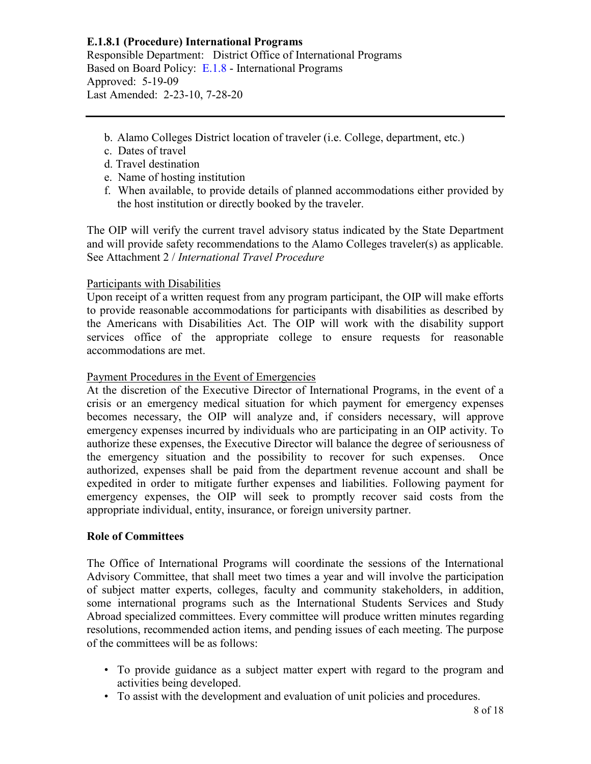- b. Alamo Colleges District location of traveler (i.e. College, department, etc.)
- c. Dates of travel
- d. Travel destination
- e. Name of hosting institution
- f. When available, to provide details of planned accommodations either provided by the host institution or directly booked by the traveler.

The OIP will verify the current travel advisory status indicated by the State Department and will provide safety recommendations to the Alamo Colleges traveler(s) as applicable. See Attachment 2 / *International Travel Procedure*

## Participants with Disabilities

Upon receipt of a written request from any program participant, the OIP will make efforts to provide reasonable accommodations for participants with disabilities as described by the Americans with Disabilities Act. The OIP will work with the disability support services office of the appropriate college to ensure requests for reasonable accommodations are met.

## Payment Procedures in the Event of Emergencies

At the discretion of the Executive Director of International Programs, in the event of a crisis or an emergency medical situation for which payment for emergency expenses becomes necessary, the OIP will analyze and, if considers necessary, will approve emergency expenses incurred by individuals who are participating in an OIP activity. To authorize these expenses, the Executive Director will balance the degree of seriousness of the emergency situation and the possibility to recover for such expenses. Once authorized, expenses shall be paid from the department revenue account and shall be expedited in order to mitigate further expenses and liabilities. Following payment for emergency expenses, the OIP will seek to promptly recover said costs from the appropriate individual, entity, insurance, or foreign university partner.

## **Role of Committees**

The Office of International Programs will coordinate the sessions of the International Advisory Committee, that shall meet two times a year and will involve the participation of subject matter experts, colleges, faculty and community stakeholders, in addition, some international programs such as the International Students Services and Study Abroad specialized committees. Every committee will produce written minutes regarding resolutions, recommended action items, and pending issues of each meeting. The purpose of the committees will be as follows:

- To provide guidance as a subject matter expert with regard to the program and activities being developed.
- To assist with the development and evaluation of unit policies and procedures.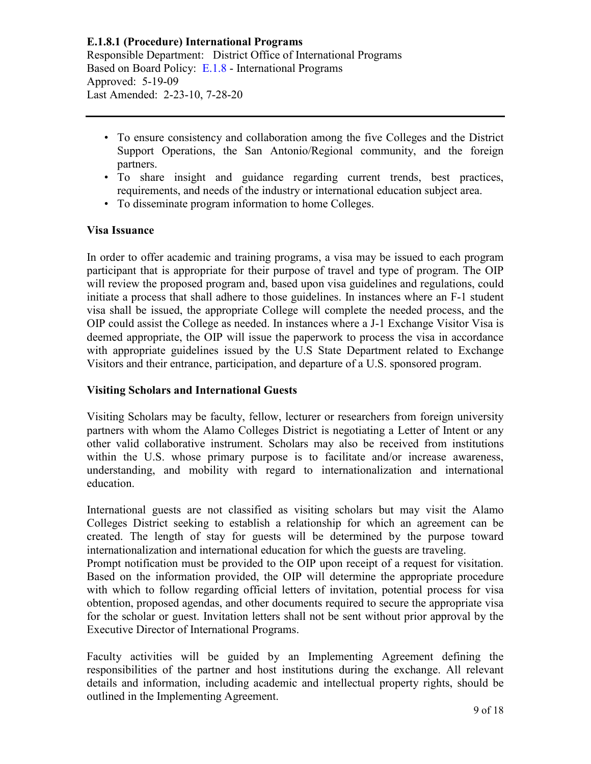- To ensure consistency and collaboration among the five Colleges and the District Support Operations, the San Antonio/Regional community, and the foreign partners.
- To share insight and guidance regarding current trends, best practices, requirements, and needs of the industry or international education subject area.
- To disseminate program information to home Colleges.

## **Visa Issuance**

In order to offer academic and training programs, a visa may be issued to each program participant that is appropriate for their purpose of travel and type of program. The OIP will review the proposed program and, based upon visa guidelines and regulations, could initiate a process that shall adhere to those guidelines. In instances where an F-1 student visa shall be issued, the appropriate College will complete the needed process, and the OIP could assist the College as needed. In instances where a J-1 Exchange Visitor Visa is deemed appropriate, the OIP will issue the paperwork to process the visa in accordance with appropriate guidelines issued by the U.S State Department related to Exchange Visitors and their entrance, participation, and departure of a U.S. sponsored program.

## **Visiting Scholars and International Guests**

Visiting Scholars may be faculty, fellow, lecturer or researchers from foreign university partners with whom the Alamo Colleges District is negotiating a Letter of Intent or any other valid collaborative instrument. Scholars may also be received from institutions within the U.S. whose primary purpose is to facilitate and/or increase awareness, understanding, and mobility with regard to internationalization and international education.

International guests are not classified as visiting scholars but may visit the Alamo Colleges District seeking to establish a relationship for which an agreement can be created. The length of stay for guests will be determined by the purpose toward internationalization and international education for which the guests are traveling. Prompt notification must be provided to the OIP upon receipt of a request for visitation.

Based on the information provided, the OIP will determine the appropriate procedure with which to follow regarding official letters of invitation, potential process for visa obtention, proposed agendas, and other documents required to secure the appropriate visa for the scholar or guest. Invitation letters shall not be sent without prior approval by the Executive Director of International Programs.

Faculty activities will be guided by an Implementing Agreement defining the responsibilities of the partner and host institutions during the exchange. All relevant details and information, including academic and intellectual property rights, should be outlined in the Implementing Agreement.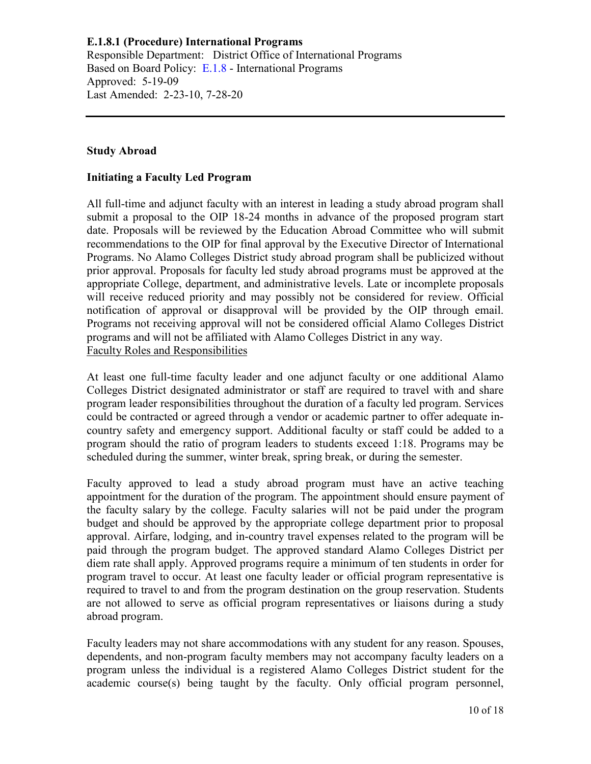### **Study Abroad**

### **Initiating a Faculty Led Program**

All full-time and adjunct faculty with an interest in leading a study abroad program shall submit a proposal to the OIP 18-24 months in advance of the proposed program start date. Proposals will be reviewed by the Education Abroad Committee who will submit recommendations to the OIP for final approval by the Executive Director of International Programs. No Alamo Colleges District study abroad program shall be publicized without prior approval. Proposals for faculty led study abroad programs must be approved at the appropriate College, department, and administrative levels. Late or incomplete proposals will receive reduced priority and may possibly not be considered for review. Official notification of approval or disapproval will be provided by the OIP through email. Programs not receiving approval will not be considered official Alamo Colleges District programs and will not be affiliated with Alamo Colleges District in any way. Faculty Roles and Responsibilities

At least one full-time faculty leader and one adjunct faculty or one additional Alamo Colleges District designated administrator or staff are required to travel with and share program leader responsibilities throughout the duration of a faculty led program. Services could be contracted or agreed through a vendor or academic partner to offer adequate incountry safety and emergency support. Additional faculty or staff could be added to a program should the ratio of program leaders to students exceed 1:18. Programs may be scheduled during the summer, winter break, spring break, or during the semester.

Faculty approved to lead a study abroad program must have an active teaching appointment for the duration of the program. The appointment should ensure payment of the faculty salary by the college. Faculty salaries will not be paid under the program budget and should be approved by the appropriate college department prior to proposal approval. Airfare, lodging, and in-country travel expenses related to the program will be paid through the program budget. The approved standard Alamo Colleges District per diem rate shall apply. Approved programs require a minimum of ten students in order for program travel to occur. At least one faculty leader or official program representative is required to travel to and from the program destination on the group reservation. Students are not allowed to serve as official program representatives or liaisons during a study abroad program.

Faculty leaders may not share accommodations with any student for any reason. Spouses, dependents, and non-program faculty members may not accompany faculty leaders on a program unless the individual is a registered Alamo Colleges District student for the academic course(s) being taught by the faculty. Only official program personnel,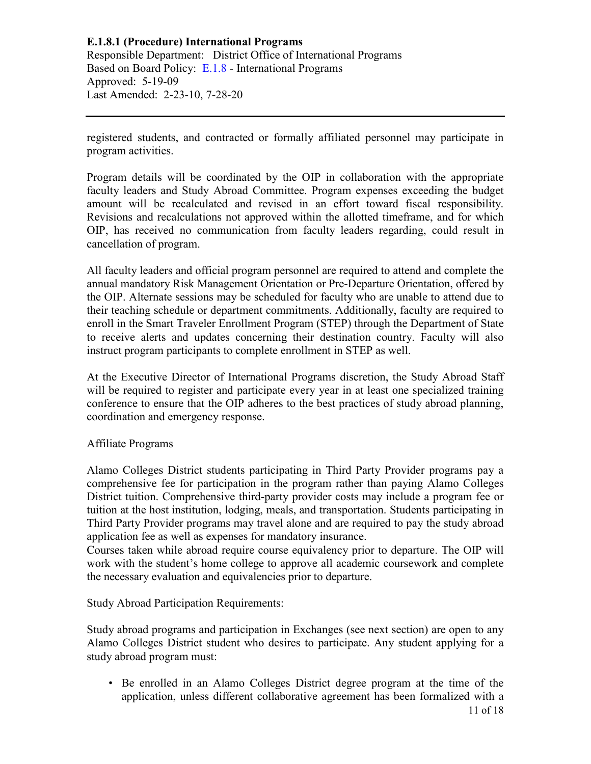registered students, and contracted or formally affiliated personnel may participate in program activities.

Program details will be coordinated by the OIP in collaboration with the appropriate faculty leaders and Study Abroad Committee. Program expenses exceeding the budget amount will be recalculated and revised in an effort toward fiscal responsibility. Revisions and recalculations not approved within the allotted timeframe, and for which OIP, has received no communication from faculty leaders regarding, could result in cancellation of program.

All faculty leaders and official program personnel are required to attend and complete the annual mandatory Risk Management Orientation or Pre-Departure Orientation, offered by the OIP. Alternate sessions may be scheduled for faculty who are unable to attend due to their teaching schedule or department commitments. Additionally, faculty are required to enroll in the Smart Traveler Enrollment Program (STEP) through the Department of State to receive alerts and updates concerning their destination country. Faculty will also instruct program participants to complete enrollment in STEP as well.

At the Executive Director of International Programs discretion, the Study Abroad Staff will be required to register and participate every year in at least one specialized training conference to ensure that the OIP adheres to the best practices of study abroad planning, coordination and emergency response.

## Affiliate Programs

Alamo Colleges District students participating in Third Party Provider programs pay a comprehensive fee for participation in the program rather than paying Alamo Colleges District tuition. Comprehensive third-party provider costs may include a program fee or tuition at the host institution, lodging, meals, and transportation. Students participating in Third Party Provider programs may travel alone and are required to pay the study abroad application fee as well as expenses for mandatory insurance.

Courses taken while abroad require course equivalency prior to departure. The OIP will work with the student's home college to approve all academic coursework and complete the necessary evaluation and equivalencies prior to departure.

Study Abroad Participation Requirements:

Study abroad programs and participation in Exchanges (see next section) are open to any Alamo Colleges District student who desires to participate. Any student applying for a study abroad program must:

11 of 18 • Be enrolled in an Alamo Colleges District degree program at the time of the application, unless different collaborative agreement has been formalized with a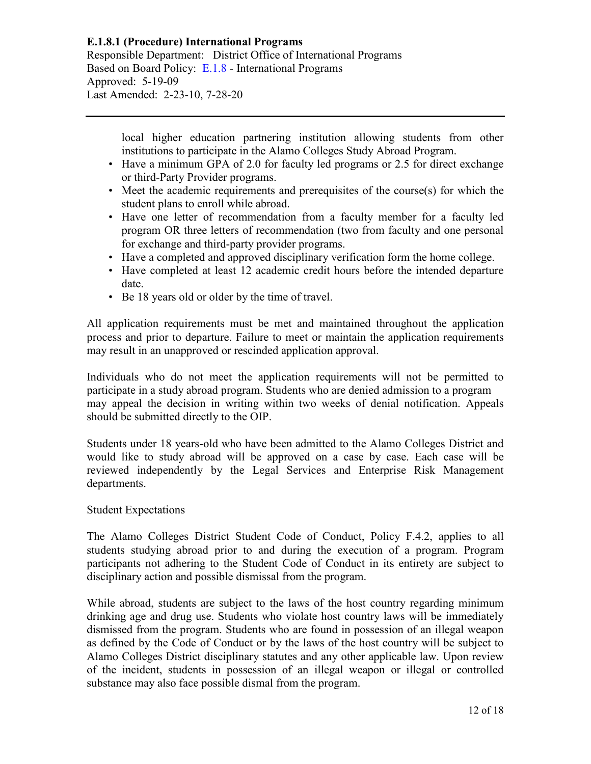# **E.1.8.1 (Procedure) International Programs**

Responsible Department: District Office of International Programs Based on Board Policy: [E.1.8](https://www.alamo.edu/siteassets/district/about-us/leadership/board-of-trustees/policies-pdfs/section-e/e.1.8-policy.pdf) - International Programs Approved: 5-19-09 Last Amended: 2-23-10, 7-28-20

> local higher education partnering institution allowing students from other institutions to participate in the Alamo Colleges Study Abroad Program.

- Have a minimum GPA of 2.0 for faculty led programs or 2.5 for direct exchange or third-Party Provider programs.
- Meet the academic requirements and prerequisites of the course(s) for which the student plans to enroll while abroad.
- Have one letter of recommendation from a faculty member for a faculty led program OR three letters of recommendation (two from faculty and one personal for exchange and third-party provider programs.
- Have a completed and approved disciplinary verification form the home college.
- Have completed at least 12 academic credit hours before the intended departure date.
- Be 18 years old or older by the time of travel.

All application requirements must be met and maintained throughout the application process and prior to departure. Failure to meet or maintain the application requirements may result in an unapproved or rescinded application approval.

Individuals who do not meet the application requirements will not be permitted to participate in a study abroad program. Students who are denied admission to a program may appeal the decision in writing within two weeks of denial notification. Appeals should be submitted directly to the OIP.

Students under 18 years-old who have been admitted to the Alamo Colleges District and would like to study abroad will be approved on a case by case. Each case will be reviewed independently by the Legal Services and Enterprise Risk Management departments.

#### Student Expectations

The Alamo Colleges District Student Code of Conduct, Policy F.4.2, applies to all students studying abroad prior to and during the execution of a program. Program participants not adhering to the Student Code of Conduct in its entirety are subject to disciplinary action and possible dismissal from the program.

While abroad, students are subject to the laws of the host country regarding minimum drinking age and drug use. Students who violate host country laws will be immediately dismissed from the program. Students who are found in possession of an illegal weapon as defined by the Code of Conduct or by the laws of the host country will be subject to Alamo Colleges District disciplinary statutes and any other applicable law. Upon review of the incident, students in possession of an illegal weapon or illegal or controlled substance may also face possible dismal from the program.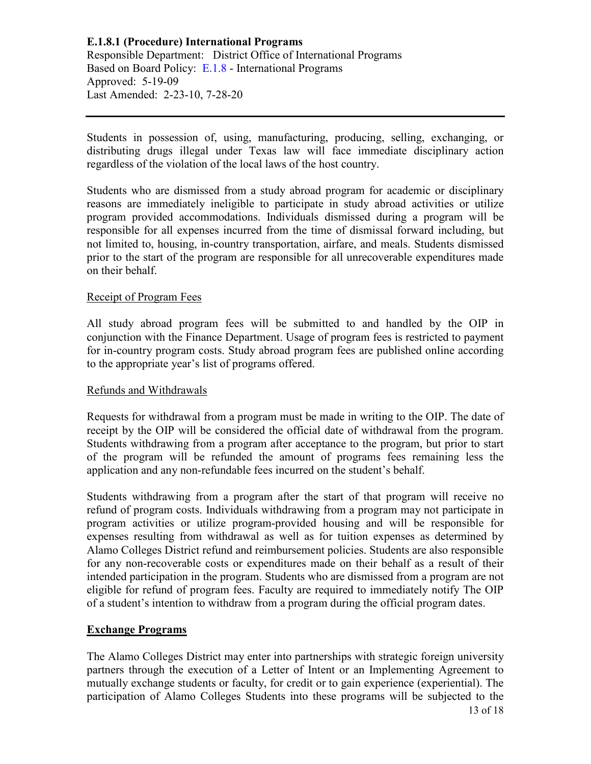Students in possession of, using, manufacturing, producing, selling, exchanging, or distributing drugs illegal under Texas law will face immediate disciplinary action regardless of the violation of the local laws of the host country.

Students who are dismissed from a study abroad program for academic or disciplinary reasons are immediately ineligible to participate in study abroad activities or utilize program provided accommodations. Individuals dismissed during a program will be responsible for all expenses incurred from the time of dismissal forward including, but not limited to, housing, in-country transportation, airfare, and meals. Students dismissed prior to the start of the program are responsible for all unrecoverable expenditures made on their behalf.

## Receipt of Program Fees

All study abroad program fees will be submitted to and handled by the OIP in conjunction with the Finance Department. Usage of program fees is restricted to payment for in-country program costs. Study abroad program fees are published online according to the appropriate year's list of programs offered.

## Refunds and Withdrawals

Requests for withdrawal from a program must be made in writing to the OIP. The date of receipt by the OIP will be considered the official date of withdrawal from the program. Students withdrawing from a program after acceptance to the program, but prior to start of the program will be refunded the amount of programs fees remaining less the application and any non-refundable fees incurred on the student's behalf.

Students withdrawing from a program after the start of that program will receive no refund of program costs. Individuals withdrawing from a program may not participate in program activities or utilize program-provided housing and will be responsible for expenses resulting from withdrawal as well as for tuition expenses as determined by Alamo Colleges District refund and reimbursement policies. Students are also responsible for any non-recoverable costs or expenditures made on their behalf as a result of their intended participation in the program. Students who are dismissed from a program are not eligible for refund of program fees. Faculty are required to immediately notify The OIP of a student's intention to withdraw from a program during the official program dates.

## **Exchange Programs**

13 of 18 The Alamo Colleges District may enter into partnerships with strategic foreign university partners through the execution of a Letter of Intent or an Implementing Agreement to mutually exchange students or faculty, for credit or to gain experience (experiential). The participation of Alamo Colleges Students into these programs will be subjected to the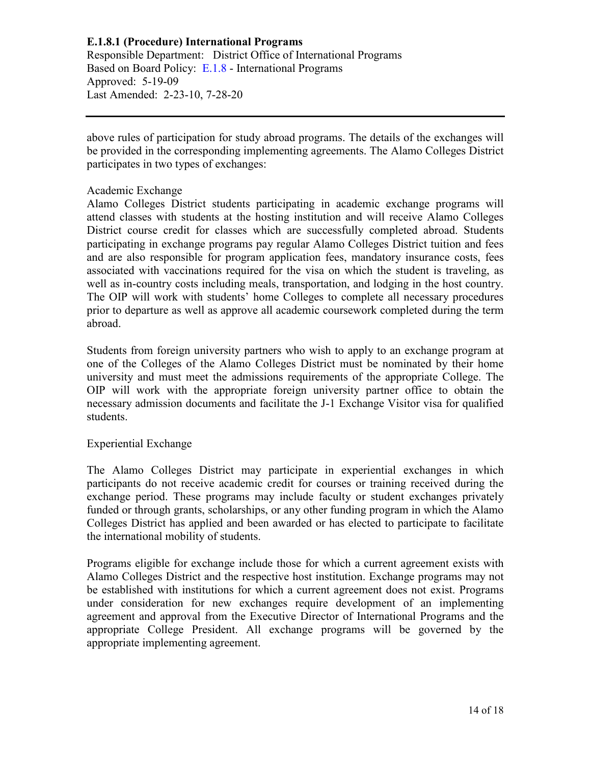# **E.1.8.1 (Procedure) International Programs**

Responsible Department: District Office of International Programs Based on Board Policy: [E.1.8](https://www.alamo.edu/siteassets/district/about-us/leadership/board-of-trustees/policies-pdfs/section-e/e.1.8-policy.pdf) - International Programs Approved: 5-19-09 Last Amended: 2-23-10, 7-28-20

above rules of participation for study abroad programs. The details of the exchanges will be provided in the corresponding implementing agreements. The Alamo Colleges District participates in two types of exchanges:

### Academic Exchange

Alamo Colleges District students participating in academic exchange programs will attend classes with students at the hosting institution and will receive Alamo Colleges District course credit for classes which are successfully completed abroad. Students participating in exchange programs pay regular Alamo Colleges District tuition and fees and are also responsible for program application fees, mandatory insurance costs, fees associated with vaccinations required for the visa on which the student is traveling, as well as in-country costs including meals, transportation, and lodging in the host country. The OIP will work with students' home Colleges to complete all necessary procedures prior to departure as well as approve all academic coursework completed during the term abroad.

Students from foreign university partners who wish to apply to an exchange program at one of the Colleges of the Alamo Colleges District must be nominated by their home university and must meet the admissions requirements of the appropriate College. The OIP will work with the appropriate foreign university partner office to obtain the necessary admission documents and facilitate the J-1 Exchange Visitor visa for qualified students.

## Experiential Exchange

The Alamo Colleges District may participate in experiential exchanges in which participants do not receive academic credit for courses or training received during the exchange period. These programs may include faculty or student exchanges privately funded or through grants, scholarships, or any other funding program in which the Alamo Colleges District has applied and been awarded or has elected to participate to facilitate the international mobility of students.

Programs eligible for exchange include those for which a current agreement exists with Alamo Colleges District and the respective host institution. Exchange programs may not be established with institutions for which a current agreement does not exist. Programs under consideration for new exchanges require development of an implementing agreement and approval from the Executive Director of International Programs and the appropriate College President. All exchange programs will be governed by the appropriate implementing agreement.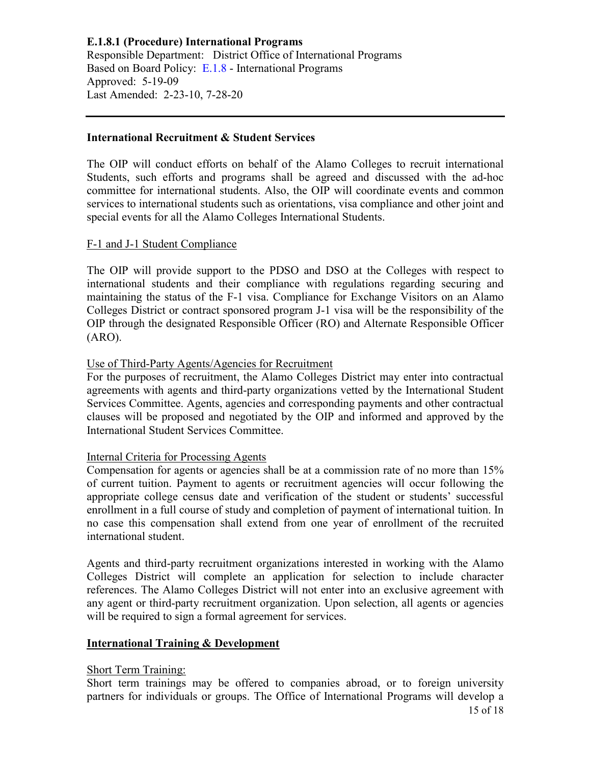### **International Recruitment & Student Services**

The OIP will conduct efforts on behalf of the Alamo Colleges to recruit international Students, such efforts and programs shall be agreed and discussed with the ad-hoc committee for international students. Also, the OIP will coordinate events and common services to international students such as orientations, visa compliance and other joint and special events for all the Alamo Colleges International Students.

### F-1 and J-1 Student Compliance

The OIP will provide support to the PDSO and DSO at the Colleges with respect to international students and their compliance with regulations regarding securing and maintaining the status of the F-1 visa. Compliance for Exchange Visitors on an Alamo Colleges District or contract sponsored program J-1 visa will be the responsibility of the OIP through the designated Responsible Officer (RO) and Alternate Responsible Officer (ARO).

## Use of Third-Party Agents/Agencies for Recruitment

For the purposes of recruitment, the Alamo Colleges District may enter into contractual agreements with agents and third-party organizations vetted by the International Student Services Committee. Agents, agencies and corresponding payments and other contractual clauses will be proposed and negotiated by the OIP and informed and approved by the International Student Services Committee.

## Internal Criteria for Processing Agents

Compensation for agents or agencies shall be at a commission rate of no more than 15% of current tuition. Payment to agents or recruitment agencies will occur following the appropriate college census date and verification of the student or students' successful enrollment in a full course of study and completion of payment of international tuition. In no case this compensation shall extend from one year of enrollment of the recruited international student.

Agents and third-party recruitment organizations interested in working with the Alamo Colleges District will complete an application for selection to include character references. The Alamo Colleges District will not enter into an exclusive agreement with any agent or third-party recruitment organization. Upon selection, all agents or agencies will be required to sign a formal agreement for services.

### **International Training & Development**

#### Short Term Training:

Short term trainings may be offered to companies abroad, or to foreign university partners for individuals or groups. The Office of International Programs will develop a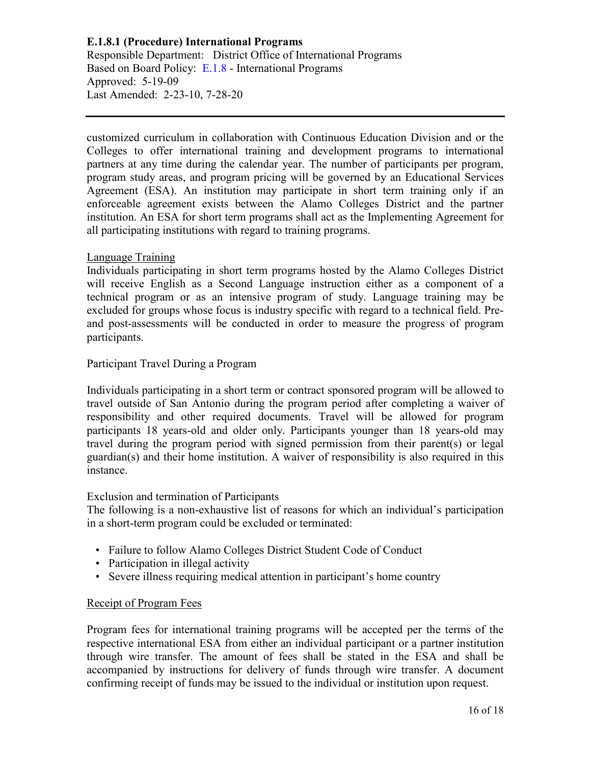customized curriculum in collaboration with Continuous Education Division and or the Colleges to offer international training and development programs to international partners at any time during the calendar year. The number of participants per program, program study areas, and program pricing will be governed by an Educational Services Agreement (ESA). An institution may participate in short term training only if an enforceable agreement exists between the Alamo Colleges District and the partner institution. An ESA for short term programs shall act as the Implementing Agreement for all participating institutions with regard to training programs.

## Language Training

Individuals participating in short term programs hosted by the Alamo Colleges District will receive English as a Second Language instruction either as a component of a technical program or as an intensive program of study. Language training may be excluded for groups whose focus is industry specific with regard to a technical field. Preand post-assessments will be conducted in order to measure the progress of program participants.

## Participant Travel During a Program

Individuals participating in a short term or contract sponsored program will be allowed to travel outside of San Antonio during the program period after completing a waiver of responsibility and other required documents. Travel will be allowed for program participants 18 years-old and older only. Participants younger than 18 years-old may travel during the program period with signed permission from their parent(s) or legal guardian(s) and their home institution. A waiver of responsibility is also required in this instance.

## Exclusion and termination of Participants

The following is a non-exhaustive list of reasons for which an individual's participation in a short-term program could be excluded or terminated:

- Failure to follow Alamo Colleges District Student Code of Conduct
- Participation in illegal activity
- Severe illness requiring medical attention in participant's home country

## Receipt of Program Fees

Program fees for international training programs will be accepted per the terms of the respective international ESA from either an individual participant or a partner institution through wire transfer. The amount of fees shall be stated in the ESA and shall be accompanied by instructions for delivery of funds through wire transfer. A document confirming receipt of funds may be issued to the individual or institution upon request.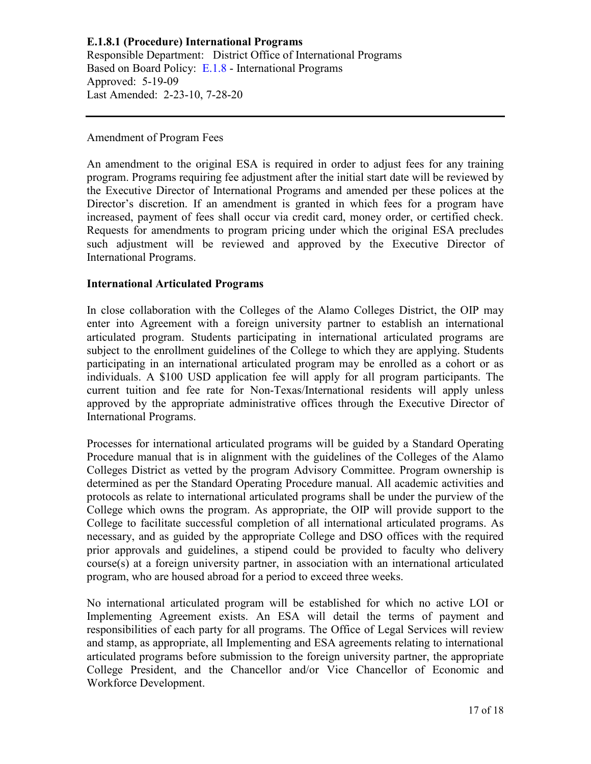### Amendment of Program Fees

An amendment to the original ESA is required in order to adjust fees for any training program. Programs requiring fee adjustment after the initial start date will be reviewed by the Executive Director of International Programs and amended per these polices at the Director's discretion. If an amendment is granted in which fees for a program have increased, payment of fees shall occur via credit card, money order, or certified check. Requests for amendments to program pricing under which the original ESA precludes such adjustment will be reviewed and approved by the Executive Director of International Programs.

## **International Articulated Programs**

In close collaboration with the Colleges of the Alamo Colleges District, the OIP may enter into Agreement with a foreign university partner to establish an international articulated program. Students participating in international articulated programs are subject to the enrollment guidelines of the College to which they are applying. Students participating in an international articulated program may be enrolled as a cohort or as individuals. A \$100 USD application fee will apply for all program participants. The current tuition and fee rate for Non-Texas/International residents will apply unless approved by the appropriate administrative offices through the Executive Director of International Programs.

Processes for international articulated programs will be guided by a Standard Operating Procedure manual that is in alignment with the guidelines of the Colleges of the Alamo Colleges District as vetted by the program Advisory Committee. Program ownership is determined as per the Standard Operating Procedure manual. All academic activities and protocols as relate to international articulated programs shall be under the purview of the College which owns the program. As appropriate, the OIP will provide support to the College to facilitate successful completion of all international articulated programs. As necessary, and as guided by the appropriate College and DSO offices with the required prior approvals and guidelines, a stipend could be provided to faculty who delivery course(s) at a foreign university partner, in association with an international articulated program, who are housed abroad for a period to exceed three weeks.

No international articulated program will be established for which no active LOI or Implementing Agreement exists. An ESA will detail the terms of payment and responsibilities of each party for all programs. The Office of Legal Services will review and stamp, as appropriate, all Implementing and ESA agreements relating to international articulated programs before submission to the foreign university partner, the appropriate College President, and the Chancellor and/or Vice Chancellor of Economic and Workforce Development.